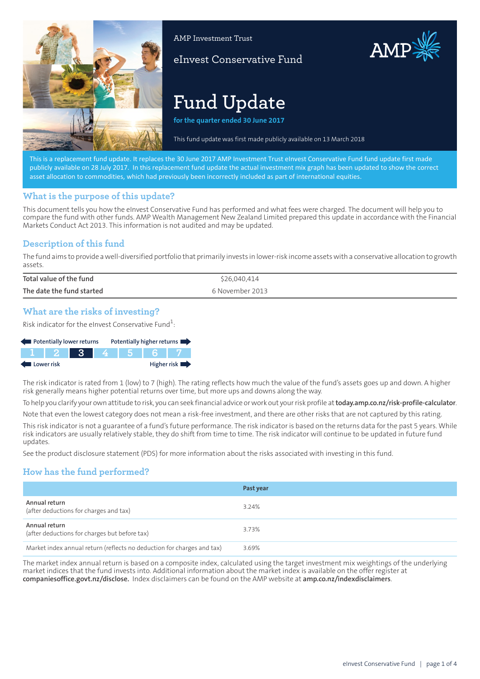

AMP Investment Trust

eInvest Conservative Fund



# **Fund Update**

**for the quarter ended 30 June 2017**

This fund update was first made publicly available on 13 March 2018

This is a replacement fund update. It replaces the 30 June 2017 AMP Investment Trust eInvest Conservative Fund fund update first made publicly available on 28 July 2017. In this replacement fund update the actual investment mix graph has been updated to show the correct asset allocation to commodities, which had previously been incorrectly included as part of international equities.

## **What is the purpose of this update?**

This document tells you how the eInvest Conservative Fund has performed and what fees were charged. The document will help you to compare the fund with other funds. AMP Wealth Management New Zealand Limited prepared this update in accordance with the Financial Markets Conduct Act 2013. This information is not audited and may be updated.

## **Description of this fund**

The fund aims to provide a well-diversified portfolio that primarily invests in lower-risk income assets with a conservative allocation to growth assets.

| Total value of the fund   | \$26,040,414    |
|---------------------------|-----------------|
| The date the fund started | 6 November 2013 |

## **What are the risks of investing?**

Risk indicator for the eInvest Conservative Fund $^1$ :

| Potentially lower returns |  |               |  | Potentially higher returns |
|---------------------------|--|---------------|--|----------------------------|
|                           |  | 1 2 3 4 5 6 7 |  |                            |
| <b>Lower risk</b>         |  |               |  | Higher risk                |

The risk indicator is rated from 1 (low) to 7 (high). The rating reflects how much the value of the fund's assets goes up and down. A higher risk generally means higher potential returns over time, but more ups and downs along the way.

To help you clarify your own attitude to risk, you can seek financial advice or work out your risk profile at**[today.amp.co.nz/risk-profile-calculator](http://today.amp.co.nz/risk-profile-calculator)**.

Note that even the lowest category does not mean a risk-free investment, and there are other risks that are not captured by this rating.

This risk indicator is not a guarantee of a fund's future performance. The risk indicator is based on the returns data for the past 5 years. While risk indicators are usually relatively stable, they do shift from time to time. The risk indicator will continue to be updated in future fund updates.

See the product disclosure statement (PDS) for more information about the risks associated with investing in this fund.

# **How has the fund performed?**

|                                                                        | Past year |
|------------------------------------------------------------------------|-----------|
| Annual return<br>(after deductions for charges and tax)                | 3.24%     |
| Annual return<br>(after deductions for charges but before tax)         | 3.73%     |
| Market index annual return (reflects no deduction for charges and tax) | 3.69%     |

The market index annual return is based on a composite index, calculated using the target investment mix weightings of the underlying market indices that the fund invests into. Additional information about the market index is available on the offer register at **[companiesoffice.govt.nz/disclose](http://companiesoffice.govt.nz/disclose).** Index disclaimers can be found on the AMP website at **[amp.co.nz/indexdisclaimers](http://amp.co.nz/indexdisclaimers)**.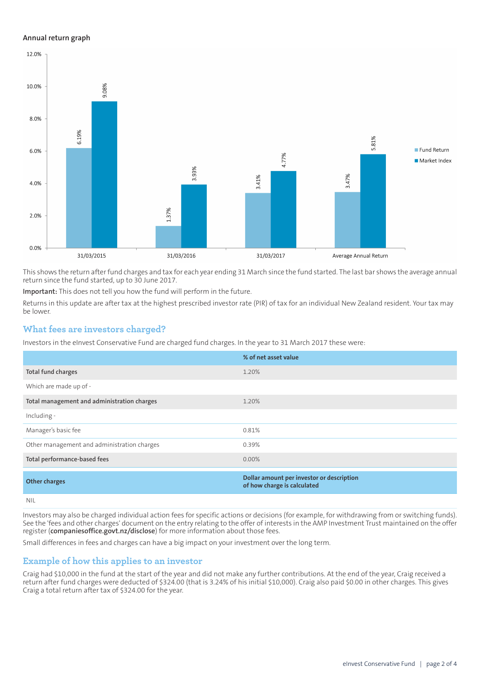#### **Annual return graph**



This shows the return afterfund charges and tax for each year ending 31 March since the fund started. The last bar shows the average annual return since the fund started, up to 30 June 2017.

**Important:** This does not tell you how the fund will perform in the future.

Returns in this update are after tax at the highest prescribed investor rate (PIR) of tax for an individual New Zealand resident. Your tax may be lower.

#### **What fees are investors charged?**

Investors in the eInvest Conservative Fund are charged fund charges. In the year to 31 March 2017 these were:

|                                             | % of net asset value                                                     |
|---------------------------------------------|--------------------------------------------------------------------------|
| Total fund charges                          | 1.20%                                                                    |
| Which are made up of -                      |                                                                          |
| Total management and administration charges | 1.20%                                                                    |
| Including -                                 |                                                                          |
| Manager's basic fee                         | 0.81%                                                                    |
| Other management and administration charges | 0.39%                                                                    |
| Total performance-based fees                | $0.00\%$                                                                 |
| <b>Other charges</b>                        | Dollar amount per investor or description<br>of how charge is calculated |
| NII                                         |                                                                          |

Investors may also be charged individual action fees for specific actions or decisions (for example, for withdrawing from or switching funds). See the 'fees and other charges' document on the entry relating to the offer of interests in the AMP Investment Trust maintained on the offer

register (**[companiesoffice.govt.nz/disclose](http://companiesoffice.govt.nz/disclose)**) for more information about those fees.

Small differences in fees and charges can have a big impact on your investment over the long term.

## **Example of how this applies to an investor**

Craig had \$10,000 in the fund at the start of the year and did not make any further contributions. At the end of the year, Craig received a return after fund charges were deducted of \$324.00 (that is 3.24% of his initial \$10,000). Craig also paid \$0.00 in other charges. This gives Craig a total return after tax of \$324.00 for the year.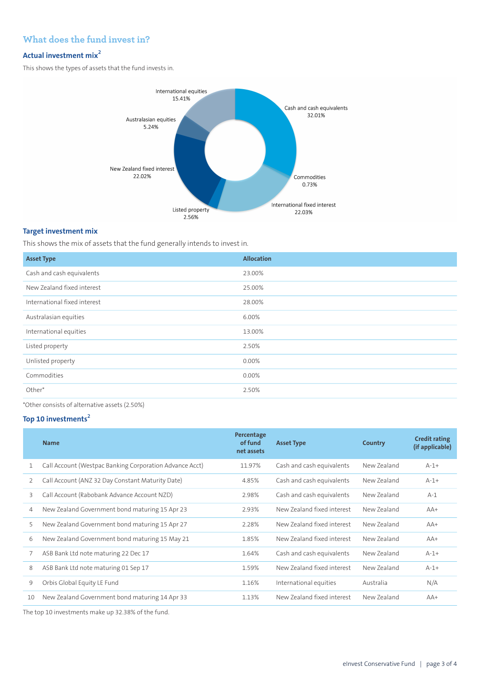## **What does the fund invest in?**

# **Actual investment mix<sup>2</sup>**

This shows the types of assets that the fund invests in.



### **Target investment mix**

This shows the mix of assets that the fund generally intends to invest in.

| <b>Asset Type</b>            | Allocation |
|------------------------------|------------|
| Cash and cash equivalents    | 23.00%     |
| New Zealand fixed interest   | 25.00%     |
| International fixed interest | 28.00%     |
| Australasian equities        | 6.00%      |
| International equities       | 13.00%     |
| Listed property              | 2.50%      |
| Unlisted property            | 0.00%      |
| Commodities                  | 0.00%      |
| Other*                       | 2.50%      |

\*Other consists of alternative assets (2.50%)

#### **Top 10 investments<sup>2</sup>**

|    | <b>Name</b>                                             | Percentage<br>of fund<br>net assets | <b>Asset Type</b>          | Country     | <b>Credit rating</b><br>(if applicable) |
|----|---------------------------------------------------------|-------------------------------------|----------------------------|-------------|-----------------------------------------|
|    | Call Account (Westpac Banking Corporation Advance Acct) | 11.97%                              | Cash and cash equivalents  | New Zealand | $A-1+$                                  |
| 2  | Call Account (ANZ 32 Day Constant Maturity Date)        | 4.85%                               | Cash and cash equivalents  | New Zealand | $A-1+$                                  |
| 3  | Call Account (Rabobank Advance Account NZD)             | 2.98%                               | Cash and cash equivalents  | New Zealand | $A-1$                                   |
| 4  | New Zealand Government bond maturing 15 Apr 23          | 2.93%                               | New Zealand fixed interest | New Zealand | $AA+$                                   |
| 5  | New Zealand Government bond maturing 15 Apr 27          | 2.28%                               | New Zealand fixed interest | New Zealand | $AA+$                                   |
| 6  | New Zealand Government bond maturing 15 May 21          | 1.85%                               | New Zealand fixed interest | New Zealand | $AA+$                                   |
| 7  | ASB Bank Ltd note maturing 22 Dec 17                    | 1.64%                               | Cash and cash equivalents  | New Zealand | $A-1+$                                  |
| 8  | ASB Bank Ltd note maturing 01 Sep 17                    | 1.59%                               | New Zealand fixed interest | New Zealand | $A-1+$                                  |
| 9  | Orbis Global Equity LE Fund                             | 1.16%                               | International equities     | Australia   | N/A                                     |
| 10 | New Zealand Government bond maturing 14 Apr 33          | 1.13%                               | New Zealand fixed interest | New Zealand | $AA+$                                   |
|    |                                                         |                                     |                            |             |                                         |

The top 10 investments make up 32.38% of the fund.